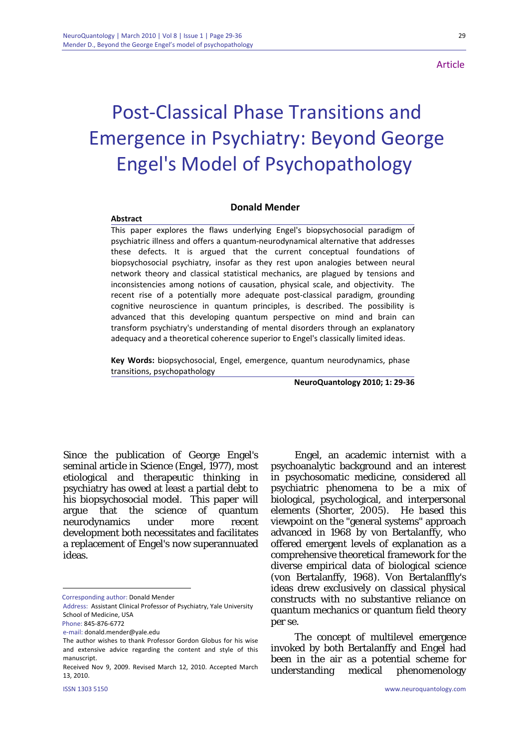## **Article**

# Post‐Classical Phase Transitions and Emergence in Psychiatry: Beyond George Engel's Model of Psychopathology

### **Donald Mender**

#### **Abstract**

This paper explores the flaws underlying Engel's biopsychosocial paradigm of psychiatric illness and offers a quantum‐neurodynamical alternative that addresses these defects. It is argued that the current conceptual foundations of biopsychosocial psychiatry, insofar as they rest upon analogies between neural network theory and classical statistical mechanics, are plagued by tensions and inconsistencies among notions of causation, physical scale, and objectivity. The recent rise of a potentially more adequate post-classical paradigm, grounding cognitive neuroscience in quantum principles, is described. The possibility is advanced that this developing quantum perspective on mind and brain can transform psychiatry's understanding of mental disorders through an explanatory adequacy and a theoretical coherence superior to Engel's classically limited ideas.

**Key Words:** biopsychosocial, Engel, emergence, quantum neurodynamics, phase transitions, psychopathology

**NeuroQuantology 2010; 1: 29‐36**

Since the publication of George Engel's seminal article in Science (Engel, 1977), most etiological and therapeutic thinking in psychiatry has owed at least a partial debt to his biopsychosocial model. This paper will argue that the science of quantum neurodynamics under more recent development both necessitates and facilitates a replacement of Engel's now superannuated ideas.

1

Engel, an academic internist with a psychoanalytic background and an interest in psychosomatic medicine, considered all psychiatric phenomena to be a mix of biological, psychological, and interpersonal elements (Shorter, 2005). He based this viewpoint on the "general systems" approach advanced in 1968 by von Bertalanffy, who offered emergent levels of explanation as a comprehensive theoretical framework for the diverse empirical data of biological science (von Bertalanffy, 1968). Von Bertalanffly's ideas drew exclusively on classical physical constructs with no substantive reliance on quantum mechanics or quantum field theory per se.

The concept of multilevel emergence invoked by both Bertalanffy and Engel had been in the air as a potential scheme for understanding medical phenomenology

Corresponding author: Donald Mender

Address: Assistant Clinical Professor of Psychiatry, Yale University School of Medicine, USA

Phone: 845‐876‐6772

e‐mail: donald.mender@yale.edu

The author wishes to thank Professor Gordon Globus for his wise and extensive advice regarding the content and style of this manuscript.

Received Nov 9, 2009. Revised March 12, 2010. Accepted March 13, 2010.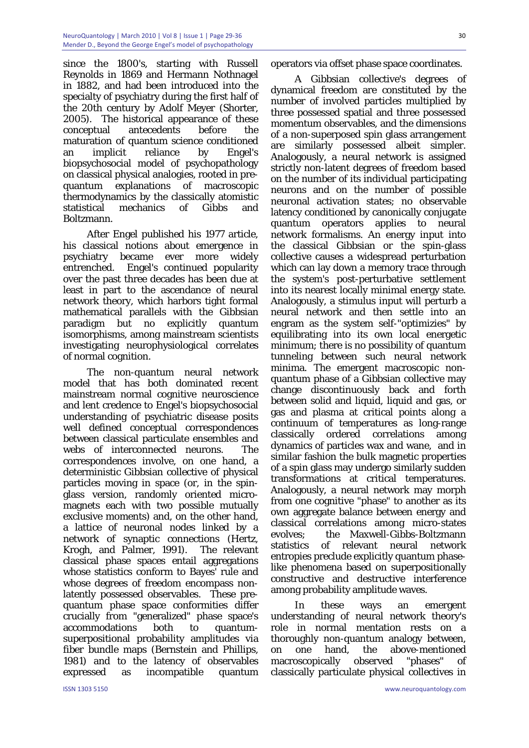since the 1800's, starting with Russell Reynolds in 1869 and Hermann Nothnagel in 1882, and had been introduced into the specialty of psychiatry during the first half of the 20th century by Adolf Meyer (Shorter, 2005). The historical appearance of these conceptual antecedents before the maturation of quantum science conditioned an implicit reliance by Engel's biopsychosocial model of psychopathology on classical physical analogies, rooted in prequantum explanations of macroscopic thermodynamics by the classically atomistic statistical mechanics of Gibbs and Boltzmann.

After Engel published his 1977 article, his classical notions about emergence in psychiatry became ever more widely entrenched. Engel's continued popularity over the past three decades has been due at least in part to the ascendance of neural network theory, which harbors tight formal mathematical parallels with the Gibbsian paradigm but no explicitly quantum isomorphisms, among mainstream scientists investigating neurophysiological correlates of normal cognition.

The non-quantum neural network model that has both dominated recent mainstream normal cognitive neuroscience and lent credence to Engel's biopsychosocial understanding of psychiatric disease posits well defined conceptual correspondences between classical particulate ensembles and webs of interconnected neurons. The correspondences involve, on one hand, a deterministic Gibbsian collective of physical particles moving in space (or, in the spinglass version, randomly oriented micromagnets each with two possible mutually exclusive moments) and, on the other hand, a lattice of neuronal nodes linked by a network of synaptic connections (Hertz, Krogh, and Palmer, 1991). The relevant classical phase spaces entail aggregations whose statistics conform to Bayes' rule and whose degrees of freedom encompass nonlatently possessed observables. These prequantum phase space conformities differ crucially from "generalized" phase space's accommodations both to quantumsuperpositional probability amplitudes via fiber bundle maps (Bernstein and Phillips, 1981) and to the latency of observables expressed as incompatible quantum

operators via offset phase space coordinates.

A Gibbsian collective's degrees of dynamical freedom are constituted by the number of involved particles multiplied by three possessed spatial and three possessed momentum observables, and the dimensions of a non-superposed spin glass arrangement are similarly possessed albeit simpler. Analogously, a neural network is assigned strictly non-latent degrees of freedom based on the number of its individual participating neurons and on the number of possible neuronal activation states; no observable latency conditioned by canonically conjugate quantum operators applies to neural network formalisms. An energy input into the classical Gibbsian or the spin-glass collective causes a widespread perturbation which can lay down a memory trace through the system's post-perturbative settlement into its nearest locally minimal energy state. Analogously, a stimulus input will perturb a neural network and then settle into an engram as the system self-"optimizies" by equilibrating into its own local energetic minimum; there is no possibility of quantum tunneling between such neural network minima. The emergent macroscopic nonquantum phase of a Gibbsian collective may change discontinuously back and forth between solid and liquid, liquid and gas, or gas and plasma at critical points along a continuum of temperatures as long-range classically ordered correlations among dynamics of particles wax and wane, and in similar fashion the bulk magnetic properties of a spin glass may undergo similarly sudden transformations at critical temperatures. Analogously, a neural network may morph from one cognitive "phase" to another as its own aggregate balance between energy and classical correlations among micro-states evolves; the Maxwell-Gibbs-Boltzmann statistics of relevant neural network entropies preclude explicitly quantum phaselike phenomena based on superpositionally constructive and destructive interference among probability amplitude waves.

In these ways an emergent understanding of neural network theory's role in normal mentation rests on a thoroughly non-quantum analogy between, on one hand, the above-mentioned macroscopically observed "phases" of classically particulate physical collectives in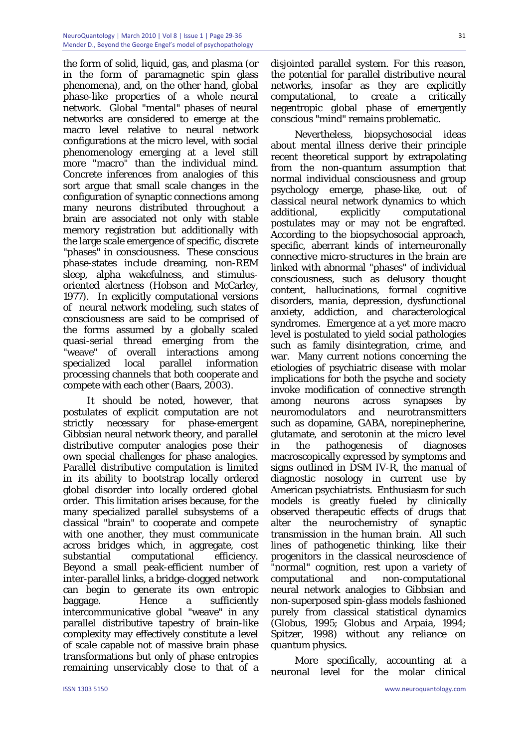the form of solid, liquid, gas, and plasma (or in the form of paramagnetic spin glass phenomena), and, on the other hand, global phase-like properties of a whole neural network. Global "mental" phases of neural networks are considered to emerge at the macro level relative to neural network configurations at the micro level, with social phenomenology emerging at a level still more "macro" than the individual mind. Concrete inferences from analogies of this sort argue that small scale changes in the configuration of synaptic connections among many neurons distributed throughout a brain are associated not only with stable memory registration but additionally with the large scale emergence of specific, discrete "phases" in consciousness. These conscious phase-states include dreaming, non-REM sleep, alpha wakefulness, and stimulusoriented alertness (Hobson and McCarley, 1977). In explicitly computational versions of neural network modeling, such states of consciousness are said to be comprised of the forms assumed by a globally scaled quasi-serial thread emerging from the "weave" of overall interactions among specialized local parallel information processing channels that both cooperate and compete with each other (Baars, 2003).

It should be noted, however, that postulates of explicit computation are not strictly necessary for phase-emergent Gibbsian neural network theory, and parallel distributive computer analogies pose their own special challenges for phase analogies. Parallel distributive computation is limited in its ability to bootstrap locally ordered global disorder into locally ordered global order. This limitation arises because, for the many specialized parallel subsystems of a classical "brain" to cooperate and compete with one another, they must communicate across bridges which, in aggregate, cost substantial computational efficiency. Beyond a small peak-efficient number of inter-parallel links, a bridge-clogged network can begin to generate its own entropic baggage. Hence a sufficiently intercommunicative global "weave" in any parallel distributive tapestry of brain-like complexity may effectively constitute a level of scale capable not of massive brain phase transformations but only of phase entropies remaining unservicably close to that of a

disjointed parallel system. For this reason, the potential for parallel distributive neural networks, insofar as they are explicitly computational, to create a critically negentropic global phase of emergently conscious "mind" remains problematic.

Nevertheless, biopsychosocial ideas about mental illness derive their principle recent theoretical support by extrapolating from the non-quantum assumption that normal individual consciousness and group psychology emerge, phase-like, out of classical neural network dynamics to which additional, explicitly computational postulates may or may not be engrafted. According to the biopsychosocial approach, specific, aberrant kinds of interneuronally connective micro-structures in the brain are linked with abnormal "phases" of individual consciousness, such as delusory thought content, hallucinations, formal cognitive disorders, mania, depression, dysfunctional anxiety, addiction, and characterological syndromes. Emergence at a yet more macro level is postulated to yield social pathologies such as family disintegration, crime, and war. Many current notions concerning the etiologies of psychiatric disease with molar implications for both the psyche and society invoke modification of connective strength among neurons across synapses by neuromodulators and neurotransmitters such as dopamine, GABA, norepinepherine, glutamate, and serotonin at the micro level in the pathogenesis of diagnoses macroscopically expressed by symptoms and signs outlined in DSM IV-R, the manual of diagnostic nosology in current use by American psychiatrists. Enthusiasm for such models is greatly fueled by clinically observed therapeutic effects of drugs that alter the neurochemistry of synaptic transmission in the human brain. All such lines of pathogenetic thinking, like their progenitors in the classical neuroscience of "normal" cognition, rest upon a variety of computational and non-computational neural network analogies to Gibbsian and non-superposed spin-glass models fashioned purely from classical statistical dynamics (Globus, 1995; Globus and Arpaia, 1994; Spitzer, 1998) without any reliance on quantum physics.

More specifically, accounting at a neuronal level for the molar clinical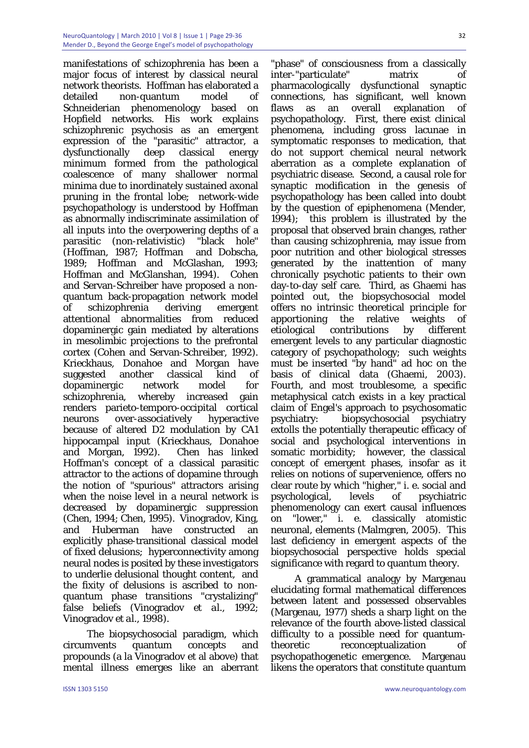manifestations of schizophrenia has been a major focus of interest by classical neural network theorists. Hoffman has elaborated a detailed non-quantum model of Schneiderian phenomenology based on Hopfield networks. His work explains schizophrenic psychosis as an emergent expression of the "parasitic" attractor, a dysfunctionally deep classical energy minimum formed from the pathological coalescence of many shallower normal minima due to inordinately sustained axonal pruning in the frontal lobe; network-wide psychopathology is understood by Hoffman as abnormally indiscriminate assimilation of all inputs into the overpowering depths of a parasitic (non-relativistic) "black hole" (Hoffman, 1987; Hoffman and Dobscha, 1989; Hoffman and McGlashan, 1993; Hoffman and McGlanshan, 1994). Cohen and Servan-Schreiber have proposed a nonquantum back-propagation network model of schizophrenia deriving emergent attentional abnormalities from reduced dopaminergic gain mediated by alterations in mesolimbic projections to the prefrontal cortex (Cohen and Servan-Schreiber, 1992). Krieckhaus, Donahoe and Morgan have suggested another classical kind of dopaminergic network model for schizophrenia, whereby increased gain renders parieto-temporo-occipital cortical neurons over-associatively hyperactive because of altered D2 modulation by CA1 hippocampal input (Krieckhaus, Donahoe and Morgan, 1992). Chen has linked Hoffman's concept of a classical parasitic attractor to the actions of dopamine through the notion of "spurious" attractors arising when the noise level in a neural network is decreased by dopaminergic suppression (Chen, 1994; Chen, 1995). Vinogradov, King, and Huberman have constructed an explicitly phase-transitional classical model of fixed delusions; hyperconnectivity among neural nodes is posited by these investigators to underlie delusional thought content, and the fixity of delusions is ascribed to nonquantum phase transitions "crystalizing" false beliefs (Vinogradov *et al.,* 1992; Vinogradov *et al.,* 1998).

The biopsychosocial paradigm, which circumvents quantum concepts and propounds (a la Vinogradov et al above) that mental illness emerges like an aberrant

"phase" of consciousness from a classically inter-"particulate" matrix of pharmacologically dysfunctional synaptic connections, has significant, well known flaws as an overall explanation of psychopathology. First, there exist clinical phenomena, including gross lacunae in symptomatic responses to medication, that do not support chemical neural network aberration as a complete explanation of psychiatric disease. Second, a causal role for synaptic modification in the genesis of psychopathology has been called into doubt by the question of epiphenomena (Mender, 1994); this problem is illustrated by the proposal that observed brain changes, rather than causing schizophrenia, may issue from poor nutrition and other biological stresses generated by the inattention of many chronically psychotic patients to their own day-to-day self care. Third, as Ghaemi has pointed out, the biopsychosocial model offers no intrinsic theoretical principle for apportioning the relative weights of etiological contributions by different emergent levels to any particular diagnostic category of psychopathology; such weights must be inserted "by hand" ad hoc on the basis of clinical data (Ghaemi, 2003). Fourth, and most troublesome, a specific metaphysical catch exists in a key practical claim of Engel's approach to psychosomatic psychiatry: biopsychosocial psychiatry extolls the potentially therapeutic efficacy of social and psychological interventions in somatic morbidity; however, the classical concept of emergent phases, insofar as it relies on notions of supervenience, offers no clear route by which "higher," i. e. social and psychological, levels of psychiatric phenomenology can exert causal influences on "lower," i. e. classically atomistic neuronal, elements (Malmgren, 2005). This last deficiency in emergent aspects of the biopsychosocial perspective holds special significance with regard to quantum theory.

A grammatical analogy by Margenau elucidating formal mathematical differences between latent and possessed observables (Margenau, 1977) sheds a sharp light on the relevance of the fourth above-listed classical difficulty to a possible need for quantumtheoretic reconceptualization of psychopathogenetic emergence. Margenau likens the operators that constitute quantum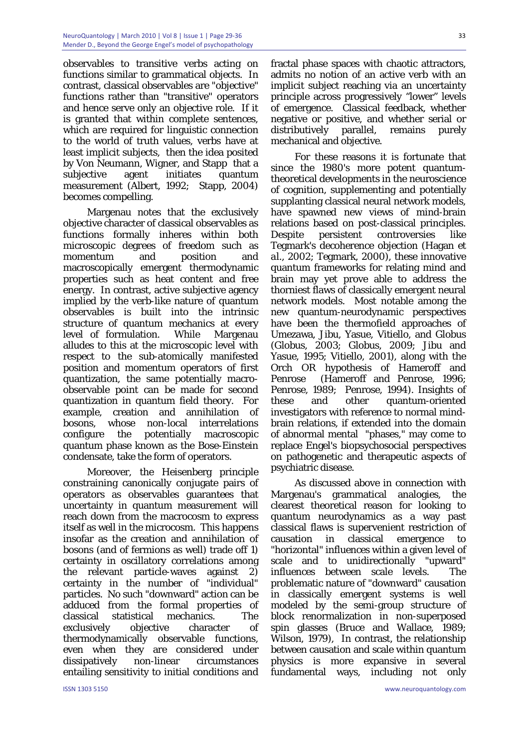observables to transitive verbs acting on functions similar to grammatical objects. In contrast, classical observables are "objective" functions rather than "transitive" operators and hence serve only an objective role. If it is granted that within complete sentences, which are required for linguistic connection to the world of truth values, verbs have at least implicit subjects, then the idea posited by Von Neumann, Wigner, and Stapp that a subjective agent initiates quantum measurement (Albert, 1992; Stapp, 2004) becomes compelling.

Margenau notes that the exclusively objective character of classical observables as functions formally inheres within both microscopic degrees of freedom such as momentum and position and macroscopically emergent thermodynamic properties such as heat content and free energy. In contrast, active subjective agency implied by the verb-like nature of quantum observables is built into the intrinsic structure of quantum mechanics at every level of formulation. While Margenau alludes to this at the microscopic level with respect to the sub-atomically manifested position and momentum operators of first quantization, the same potentially macroobservable point can be made for second quantization in quantum field theory. For example, creation and annihilation of bosons, whose non-local interrelations configure the potentially macroscopic quantum phase known as the Bose-Einstein condensate, take the form of operators.

Moreover, the Heisenberg principle constraining canonically conjugate pairs of operators as observables guarantees that uncertainty in quantum measurement will reach down from the macrocosm to express itself as well in the microcosm. This happens insofar as the creation and annihilation of bosons (and of fermions as well) trade off 1) certainty in oscillatory correlations among the relevant particle-waves against 2) certainty in the number of "individual" particles. No such "downward" action can be adduced from the formal properties of classical statistical mechanics. The exclusively objective character of thermodynamically observable functions, even when they are considered under dissipatively non-linear circumstances entailing sensitivity to initial conditions and

fractal phase spaces with chaotic attractors, admits no notion of an active verb with an implicit subject reaching via an uncertainty principle across progressively "lower" levels of emergence. Classical feedback, whether negative or positive, and whether serial or distributively parallel, remains purely mechanical and objective.

For these reasons it is fortunate that since the 1980's more potent quantumtheoretical developments in the neuroscience of cognition, supplementing and potentially supplanting classical neural network models, have spawned new views of mind-brain relations based on post-classical principles. Despite persistent controversies like Tegmark's decoherence objection (Hagan *et al.,* 2002; Tegmark, 2000), these innovative quantum frameworks for relating mind and brain may yet prove able to address the thorniest flaws of classically emergent neural network models. Most notable among the new quantum-neurodynamic perspectives have been the thermofield approaches of Umezawa, Jibu, Yasue, Vitiello, and Globus (Globus, 2003; Globus, 2009; Jibu and Yasue, 1995; Vitiello, 2001), along with the Orch OR hypothesis of Hameroff and Penrose (Hameroff and Penrose, 1996; Penrose, 1989; Penrose, 1994). Insights of these and other quantum-oriented investigators with reference to normal mindbrain relations, if extended into the domain of abnormal mental "phases," may come to replace Engel's biopsychosocial perspectives on pathogenetic and therapeutic aspects of psychiatric disease.

As discussed above in connection with Margenau's grammatical analogies, the clearest theoretical reason for looking to quantum neurodynamics as a way past classical flaws is supervenient restriction of causation in classical emergence to "horizontal" influences within a given level of scale and to unidirectionally "upward" influences between scale levels. The problematic nature of "downward" causation in classically emergent systems is well modeled by the semi-group structure of block renormalization in non-superposed spin glasses (Bruce and Wallace, 1989; Wilson, 1979), In contrast, the relationship between causation and scale within quantum physics is more expansive in several fundamental ways, including not only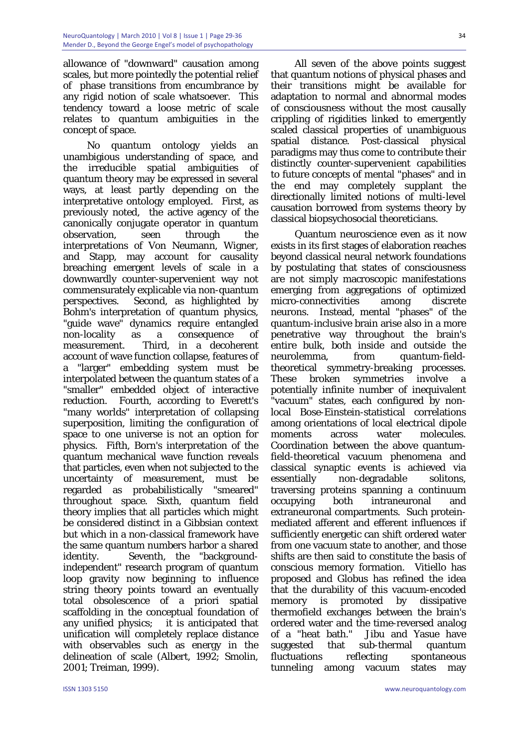allowance of "downward" causation among scales, but more pointedly the potential relief of phase transitions from encumbrance by any rigid notion of scale whatsoever. This tendency toward a loose metric of scale relates to quantum ambiguities in the concept of space.

No quantum ontology yields an unambigious understanding of space, and the irreducible spatial ambiguities of quantum theory may be expressed in several ways, at least partly depending on the interpretative ontology employed. First, as previously noted, the active agency of the canonically conjugate operator in quantum observation, seen through the interpretations of Von Neumann, Wigner, and Stapp, may account for causality breaching emergent levels of scale in a downwardly counter-supervenient way not commensurately explicable via non-quantum perspectives. Second, as highlighted by Bohm's interpretation of quantum physics, "guide wave" dynamics require entangled non-locality as a consequence of measurement. Third, in a decoherent account of wave function collapse, features of a "larger" embedding system must be interpolated between the quantum states of a "smaller" embedded object of interactive reduction. Fourth, according to Everett's "many worlds" interpretation of collapsing superposition, limiting the configuration of space to one universe is not an option for physics. Fifth, Born's interpretation of the quantum mechanical wave function reveals that particles, even when not subjected to the uncertainty of measurement, must be regarded as probabilistically "smeared" throughout space. Sixth, quantum field theory implies that all particles which might be considered distinct in a Gibbsian context but which in a non-classical framework have the same quantum numbers harbor a shared identity. Seventh, the "backgroundindependent" research program of quantum loop gravity now beginning to influence string theory points toward an eventually total obsolescence of a priori spatial scaffolding in the conceptual foundation of any unified physics; it is anticipated that unification will completely replace distance with observables such as energy in the delineation of scale (Albert, 1992; Smolin, 2001; Treiman, 1999).

All seven of the above points suggest that quantum notions of physical phases and their transitions might be available for adaptation to normal and abnormal modes of consciousness without the most causally crippling of rigidities linked to emergently scaled classical properties of unambiguous spatial distance. Post-classical physical paradigms may thus come to contribute their distinctly counter-supervenient capabilities to future concepts of mental "phases" and in the end may completely supplant the directionally limited notions of multi-level causation borrowed from systems theory by classical biopsychosocial theoreticians.

Quantum neuroscience even as it now exists in its first stages of elaboration reaches beyond classical neural network foundations by postulating that states of consciousness are not simply macroscopic manifestations emerging from aggregations of optimized micro-connectivities among discrete neurons. Instead, mental "phases" of the quantum-inclusive brain arise also in a more penetrative way throughout the brain's entire bulk, both inside and outside the neurolemma, from quantum-fieldtheoretical symmetry-breaking processes. These broken symmetries involve a potentially infinite number of inequivalent "vacuum" states, each configured by nonlocal Bose-Einstein-statistical correlations among orientations of local electrical dipole moments across water molecules. Coordination between the above quantumfield-theoretical vacuum phenomena and classical synaptic events is achieved via essentially non-degradable solitons, traversing proteins spanning a continuum occupying both intraneuronal and extraneuronal compartments. Such proteinmediated afferent and efferent influences if sufficiently energetic can shift ordered water from one vacuum state to another, and those shifts are then said to constitute the basis of conscious memory formation. Vitiello has proposed and Globus has refined the idea that the durability of this vacuum-encoded memory is promoted by dissipative thermofield exchanges between the brain's ordered water and the time-reversed analog of a "heat bath." Jibu and Yasue have suggested that sub-thermal quantum fluctuations reflecting spontaneous tunneling among vacuum states may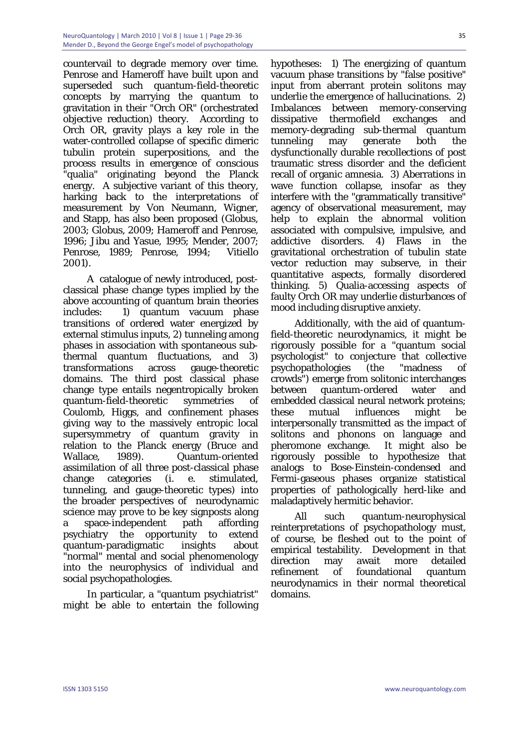countervail to degrade memory over time. Penrose and Hameroff have built upon and superseded such quantum-field-theoretic concepts by marrying the quantum to gravitation in their "Orch OR" (orchestrated objective reduction) theory. According to Orch OR, gravity plays a key role in the water-controlled collapse of specific dimeric tubulin protein superpositions, and the process results in emergence of conscious "qualia" originating beyond the Planck energy. A subjective variant of this theory, harking back to the interpretations of measurement by Von Neumann, Wigner, and Stapp, has also been proposed (Globus, 2003; Globus, 2009; Hameroff and Penrose, 1996; Jibu and Yasue, 1995; Mender, 2007; Penrose, 1989; Penrose, 1994; Vitiello 2001).

A catalogue of newly introduced, postclassical phase change types implied by the above accounting of quantum brain theories includes: 1) quantum vacuum phase transitions of ordered water energized by external stimulus inputs, 2) tunneling among phases in association with spontaneous subthermal quantum fluctuations, and 3) transformations across gauge-theoretic domains. The third post classical phase change type entails negentropically broken quantum-field-theoretic symmetries of Coulomb, Higgs, and confinement phases giving way to the massively entropic local supersymmetry of quantum gravity in relation to the Planck energy (Bruce and Wallace, 1989). Quantum-oriented assimilation of all three post-classical phase change categories (i. e. stimulated, tunneling, and gauge-theoretic types) into the broader perspectives of neurodynamic science may prove to be key signposts along a space-independent path affording psychiatry the opportunity to extend quantum-paradigmatic insights about "normal" mental and social phenomenology into the neurophysics of individual and social psychopathologies.

In particular, a "quantum psychiatrist" might be able to entertain the following

hypotheses: 1) The energizing of quantum vacuum phase transitions by "false positive" input from aberrant protein solitons may underlie the emergence of hallucinations. 2) Imbalances between memory-conserving dissipative thermofield exchanges and memory-degrading sub-thermal quantum tunneling may generate both the dysfunctionally durable recollections of post traumatic stress disorder and the deficient recall of organic amnesia. 3) Aberrations in wave function collapse, insofar as they interfere with the "grammatically transitive" agency of observational measurement, may help to explain the abnormal volition associated with compulsive, impulsive, and addictive disorders. 4) Flaws in the gravitational orchestration of tubulin state vector reduction may subserve, in their quantitative aspects, formally disordered thinking. 5) Qualia-accessing aspects of faulty Orch OR may underlie disturbances of mood including disruptive anxiety.

Additionally, with the aid of quantumfield-theoretic neurodynamics, it might be rigorously possible for a "quantum social psychologist" to conjecture that collective psychopathologies (the "madness of crowds") emerge from solitonic interchanges between quantum-ordered water and embedded classical neural network proteins; these mutual influences might be interpersonally transmitted as the impact of solitons and phonons on language and pheromone exchange. It might also be rigorously possible to hypothesize that analogs to Bose-Einstein-condensed and Fermi-gaseous phases organize statistical properties of pathologically herd-like and maladaptively hermitic behavior.

All such quantum-neurophysical reinterpretations of psychopathology must, of course, be fleshed out to the point of empirical testability. Development in that direction may await more detailed refinement of foundational quantum neurodynamics in their normal theoretical domains.